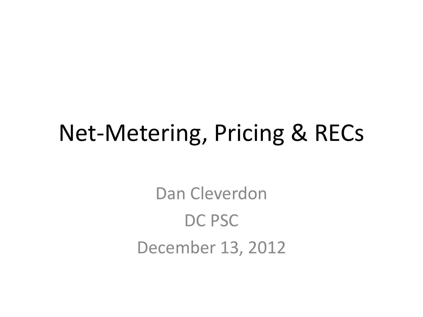#### Net-Metering, Pricing & RECs

Dan Cleverdon DC PSC December 13, 2012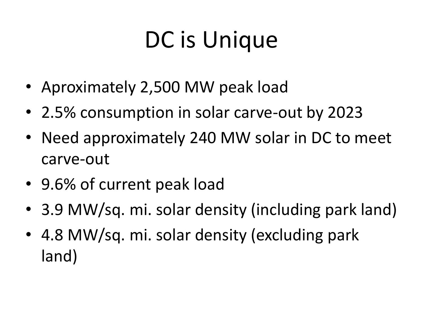# DC is Unique

- Aproximately 2,500 MW peak load
- 2.5% consumption in solar carve-out by 2023
- Need approximately 240 MW solar in DC to meet carve-out
- 9.6% of current peak load
- 3.9 MW/sq. mi. solar density (including park land)
- 4.8 MW/sq. mi. solar density (excluding park land)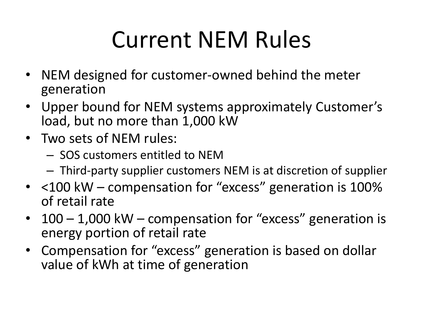#### Current NEM Rules

- NEM designed for customer-owned behind the meter generation
- Upper bound for NEM systems approximately Customer's load, but no more than 1,000 kW
- Two sets of NEM rules:
	- SOS customers entitled to NEM
	- Third-party supplier customers NEM is at discretion of supplier
- <100 kW compensation for "excess" generation is 100% of retail rate
- 100 1,000 kW compensation for "excess" generation is energy portion of retail rate
- Compensation for "excess" generation is based on dollar value of kWh at time of generation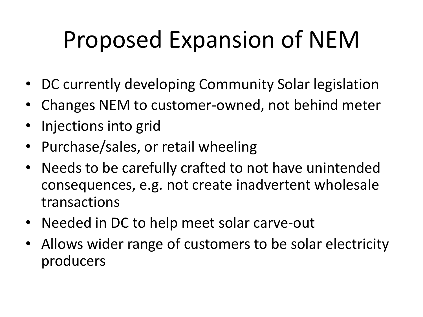# Proposed Expansion of NEM

- DC currently developing Community Solar legislation
- Changes NEM to customer-owned, not behind meter
- Injections into grid
- Purchase/sales, or retail wheeling
- Needs to be carefully crafted to not have unintended consequences, e.g. not create inadvertent wholesale transactions
- Needed in DC to help meet solar carve-out
- Allows wider range of customers to be solar electricity producers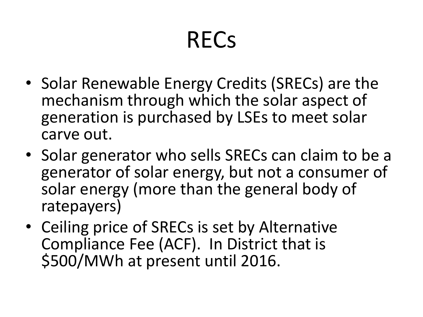# RECs

- Solar Renewable Energy Credits (SRECs) are the mechanism through which the solar aspect of generation is purchased by LSEs to meet solar carve out.
- Solar generator who sells SRECs can claim to be a generator of solar energy, but not a consumer of solar energy (more than the general body of ratepayers)
- Ceiling price of SRECs is set by Alternative Compliance Fee (ACF). In District that is \$500/MWh at present until 2016.